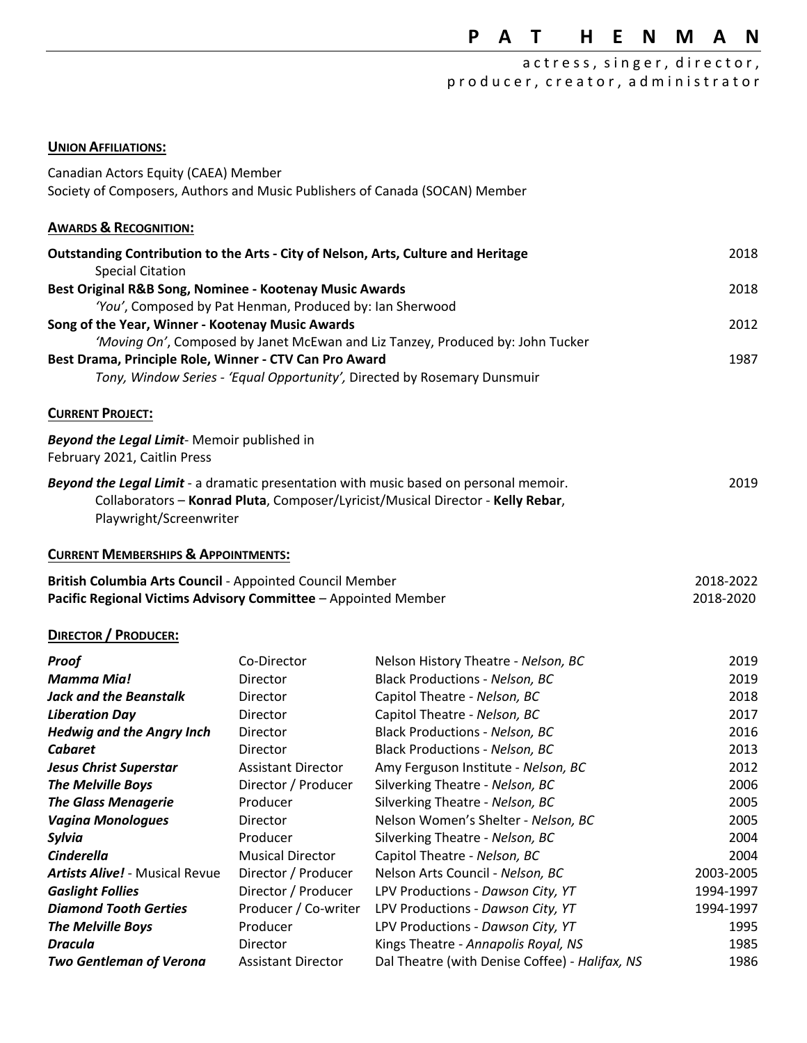# **P A T H E N M A N**

# a c t r e s s, singer, director, p r o d u c e r, c r e a t o r, a d m i n i s t r a t o r

#### **UNION AFFILIATIONS:**

| Canadian Actors Equity (CAEA) Member                                                                                       |                           |                                                                                                                                                                          |                        |
|----------------------------------------------------------------------------------------------------------------------------|---------------------------|--------------------------------------------------------------------------------------------------------------------------------------------------------------------------|------------------------|
| Society of Composers, Authors and Music Publishers of Canada (SOCAN) Member                                                |                           |                                                                                                                                                                          |                        |
| <b>AWARDS &amp; RECOGNITION:</b>                                                                                           |                           |                                                                                                                                                                          |                        |
| Outstanding Contribution to the Arts - City of Nelson, Arts, Culture and Heritage<br><b>Special Citation</b>               |                           |                                                                                                                                                                          | 2018                   |
| Best Original R&B Song, Nominee - Kootenay Music Awards<br>'You', Composed by Pat Henman, Produced by: Ian Sherwood        |                           | 2018                                                                                                                                                                     |                        |
| Song of the Year, Winner - Kootenay Music Awards                                                                           |                           |                                                                                                                                                                          | 2012                   |
|                                                                                                                            |                           | 'Moving On', Composed by Janet McEwan and Liz Tanzey, Produced by: John Tucker                                                                                           |                        |
| Best Drama, Principle Role, Winner - CTV Can Pro Award                                                                     |                           | Tony, Window Series - 'Equal Opportunity', Directed by Rosemary Dunsmuir                                                                                                 | 1987                   |
|                                                                                                                            |                           |                                                                                                                                                                          |                        |
| <b>CURRENT PROJECT:</b>                                                                                                    |                           |                                                                                                                                                                          |                        |
| <b>Beyond the Legal Limit-</b> Memoir published in<br>February 2021, Caitlin Press                                         |                           |                                                                                                                                                                          |                        |
| Playwright/Screenwriter                                                                                                    |                           | Beyond the Legal Limit - a dramatic presentation with music based on personal memoir.<br>Collaborators - Konrad Pluta, Composer/Lyricist/Musical Director - Kelly Rebar, | 2019                   |
| <b>CURRENT MEMBERSHIPS &amp; APPOINTMENTS:</b>                                                                             |                           |                                                                                                                                                                          |                        |
| British Columbia Arts Council - Appointed Council Member<br>Pacific Regional Victims Advisory Committee - Appointed Member |                           |                                                                                                                                                                          | 2018-2022<br>2018-2020 |
| <b>DIRECTOR / PRODUCER:</b>                                                                                                |                           |                                                                                                                                                                          |                        |
| Proof                                                                                                                      | Co-Director               | Nelson History Theatre - Nelson, BC                                                                                                                                      | 2019                   |
| <b>Mamma Mia!</b>                                                                                                          | Director                  | <b>Black Productions - Nelson, BC</b>                                                                                                                                    | 2019                   |
| <b>Jack and the Beanstalk</b>                                                                                              | Director                  | Capitol Theatre - Nelson, BC                                                                                                                                             | 2018                   |
| <b>Liberation Day</b>                                                                                                      | Director                  | Capitol Theatre - Nelson, BC                                                                                                                                             | 2017                   |
| <b>Hedwig and the Angry Inch</b>                                                                                           | Director                  | <b>Black Productions - Nelson, BC</b>                                                                                                                                    | 2016                   |
| <b>Cabaret</b>                                                                                                             | Director                  | <b>Black Productions - Nelson, BC</b>                                                                                                                                    | 2013                   |
| <b>Jesus Christ Superstar</b>                                                                                              | <b>Assistant Director</b> | Amy Ferguson Institute - Nelson, BC                                                                                                                                      | 2012                   |
| The Melville Boys                                                                                                          | Director / Producer       | Silverking Theatre - Nelson, BC                                                                                                                                          | 2006                   |
| <b>The Glass Menagerie</b>                                                                                                 | Producer                  | Silverking Theatre - Nelson, BC                                                                                                                                          | 2005                   |
| <b>Vagina Monologues</b>                                                                                                   | Director                  | Nelson Women's Shelter - Nelson, BC                                                                                                                                      | 2005                   |
| Sylvia                                                                                                                     | Producer                  | Silverking Theatre - Nelson, BC                                                                                                                                          | 2004                   |
| <b>Cinderella</b>                                                                                                          | <b>Musical Director</b>   | Capitol Theatre - Nelson, BC                                                                                                                                             | 2004                   |
| <b>Artists Alive! - Musical Revue</b>                                                                                      | Director / Producer       | Nelson Arts Council - Nelson, BC                                                                                                                                         | 2003-2005              |
| <b>Gaslight Follies</b>                                                                                                    | Director / Producer       | LPV Productions - Dawson City, YT                                                                                                                                        | 1994-1997              |
| <b>Diamond Tooth Gerties</b>                                                                                               | Producer / Co-writer      | LPV Productions - Dawson City, YT                                                                                                                                        | 1994-1997              |
| <b>The Melville Boys</b>                                                                                                   | Producer                  | LPV Productions - Dawson City, YT                                                                                                                                        | 1995                   |
| <b>Dracula</b>                                                                                                             | Director                  | Kings Theatre - Annapolis Royal, NS                                                                                                                                      | 1985                   |
| <b>Two Gentleman of Verona</b>                                                                                             | <b>Assistant Director</b> | Dal Theatre (with Denise Coffee) - Halifax, NS                                                                                                                           | 1986                   |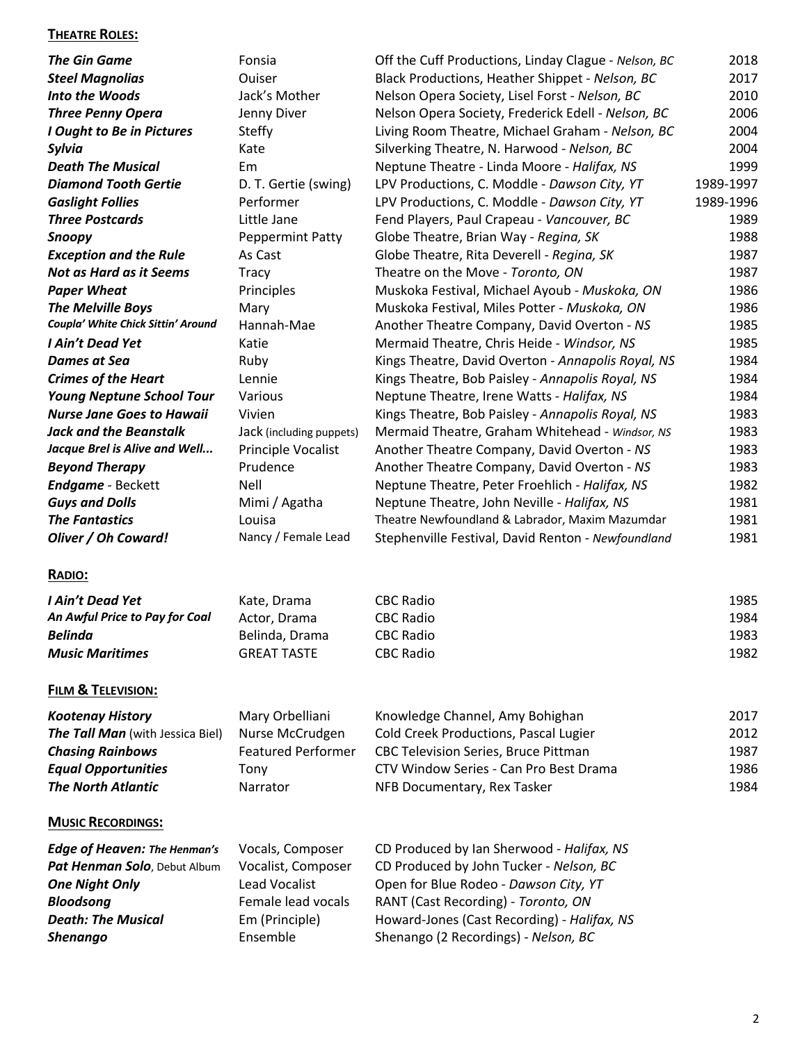#### **THEATRE ROLES:**

| <b>The Gin Game</b>                                             | Fonsia                    | Off the Cuff Productions, Linday Clague - Nelson, BC | 2018      |
|-----------------------------------------------------------------|---------------------------|------------------------------------------------------|-----------|
| <b>Steel Magnolias</b>                                          | Ouiser                    | Black Productions, Heather Shippet - Nelson, BC      | 2017      |
| Into the Woods                                                  | Jack's Mother             | Nelson Opera Society, Lisel Forst - Nelson, BC       | 2010      |
| <b>Three Penny Opera</b>                                        | Jenny Diver               | Nelson Opera Society, Frederick Edell - Nelson, BC   | 2006      |
| I Ought to Be in Pictures                                       | <b>Steffy</b>             | Living Room Theatre, Michael Graham - Nelson, BC     | 2004      |
| Sylvia                                                          | Kate                      | Silverking Theatre, N. Harwood - Nelson, BC          | 2004      |
| <b>Death The Musical</b>                                        | Em                        | Neptune Theatre - Linda Moore - Halifax, NS          | 1999      |
| <b>Diamond Tooth Gertie</b>                                     | D. T. Gertie (swing)      | LPV Productions, C. Moddle - Dawson City, YT         | 1989-1997 |
| <b>Gaslight Follies</b>                                         | Performer                 | LPV Productions, C. Moddle - Dawson City, YT         | 1989-1996 |
| <b>Three Postcards</b>                                          | Little Jane               | Fend Players, Paul Crapeau - Vancouver, BC           | 1989      |
| Snoopy                                                          | <b>Peppermint Patty</b>   | Globe Theatre, Brian Way - Regina, SK                | 1988      |
|                                                                 | As Cast                   | Globe Theatre, Rita Deverell - Regina, SK            | 1987      |
| <b>Exception and the Rule</b><br><b>Not as Hard as it Seems</b> |                           | Theatre on the Move - Toronto, ON                    | 1987      |
|                                                                 | <b>Tracy</b>              |                                                      |           |
| <b>Paper Wheat</b>                                              | Principles                | Muskoka Festival, Michael Ayoub - Muskoka, ON        | 1986      |
| <b>The Melville Boys</b><br>Coupla' White Chick Sittin' Around  | Mary                      | Muskoka Festival, Miles Potter - Muskoka, ON         | 1986      |
|                                                                 | Hannah-Mae                | Another Theatre Company, David Overton - NS          | 1985      |
| I Ain't Dead Yet                                                | Katie                     | Mermaid Theatre, Chris Heide - Windsor, NS           | 1985      |
| <b>Dames at Sea</b>                                             | Ruby                      | Kings Theatre, David Overton - Annapolis Royal, NS   | 1984      |
| <b>Crimes of the Heart</b>                                      | Lennie                    | Kings Theatre, Bob Paisley - Annapolis Royal, NS     | 1984      |
| <b>Young Neptune School Tour</b>                                | Various                   | Neptune Theatre, Irene Watts - Halifax, NS           | 1984      |
| <b>Nurse Jane Goes to Hawaii</b>                                | Vivien                    | Kings Theatre, Bob Paisley - Annapolis Royal, NS     | 1983      |
| <b>Jack and the Beanstalk</b>                                   | Jack (including puppets)  | Mermaid Theatre, Graham Whitehead - Windsor, NS      | 1983      |
| Jacque Brel is Alive and Well                                   | Principle Vocalist        | Another Theatre Company, David Overton - NS          | 1983      |
| <b>Beyond Therapy</b>                                           | Prudence                  | Another Theatre Company, David Overton - NS          | 1983      |
| <b>Endgame</b> - Beckett                                        | Nell                      | Neptune Theatre, Peter Froehlich - Halifax, NS       | 1982      |
| <b>Guys and Dolls</b>                                           | Mimi / Agatha             | Neptune Theatre, John Neville - Halifax, NS          | 1981      |
| <b>The Fantastics</b>                                           | Louisa                    | Theatre Newfoundland & Labrador, Maxim Mazumdar      | 1981      |
| Oliver / Oh Coward!                                             | Nancy / Female Lead       | Stephenville Festival, David Renton - Newfoundland   | 1981      |
| RADIO:                                                          |                           |                                                      |           |
| I Ain't Dead Yet                                                | Kate, Drama               | <b>CBC Radio</b>                                     | 1985      |
| An Awful Price to Pay for Coal                                  | Actor, Drama              | <b>CBC Radio</b>                                     | 1984      |
| <b>Belinda</b>                                                  | Belinda, Drama            | <b>CBC Radio</b>                                     | 1983      |
| <b>Music Maritimes</b>                                          | <b>GREAT TASTE</b>        | <b>CBC Radio</b>                                     | 1982      |
|                                                                 |                           |                                                      |           |
| <b>FILM &amp; TELEVISION:</b>                                   |                           |                                                      |           |
| <b>Kootenay History</b>                                         | Mary Orbelliani           | Knowledge Channel, Amy Bohighan                      | 2017      |
| The Tall Man (with Jessica Biel)                                | Nurse McCrudgen           | Cold Creek Productions, Pascal Lugier                | 2012      |
| <b>Chasing Rainbows</b>                                         | <b>Featured Performer</b> | CBC Television Series, Bruce Pittman                 | 1987      |
| <b>Equal Opportunities</b>                                      | Tony                      | CTV Window Series - Can Pro Best Drama               | 1986      |
| <b>The North Atlantic</b>                                       | Narrator                  | NFB Documentary, Rex Tasker                          | 1984      |
| <b>MUSIC RECORDINGS:</b>                                        |                           |                                                      |           |
| <b>Edge of Heaven: The Henman's</b>                             | Vocals, Composer          | CD Produced by Ian Sherwood - Halifax, NS            |           |
| Pat Henman Solo, Debut Album                                    | Vocalist, Composer        | CD Produced by John Tucker - Nelson, BC              |           |
| <b>One Night Only</b>                                           | <b>Lead Vocalist</b>      | Open for Blue Rodeo - Dawson City, YT                |           |
| <b>Bloodsong</b>                                                | Female lead vocals        | RANT (Cast Recording) - Toronto, ON                  |           |
|                                                                 |                           |                                                      |           |

**Death: The Musical Em (Principle)** Howard-Jones (Cast Recording) - *Halifax, NS* **Shenango** Ensemble Shenango (2 Recordings) - *Nelson, BC*